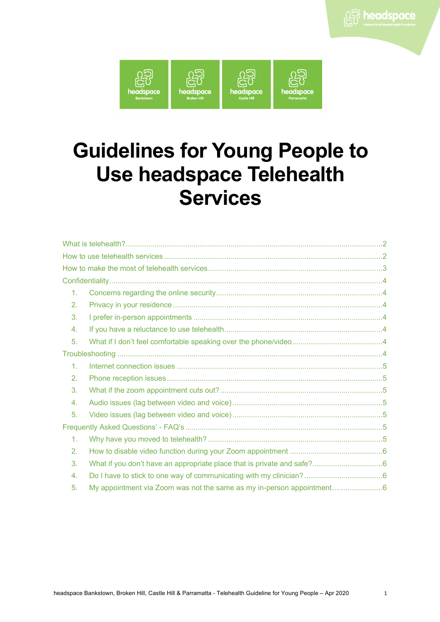

# **Guidelines for Young People to Use headspace Telehealth Services**

| $1_{-}$       |  |  |  |
|---------------|--|--|--|
| 2.            |  |  |  |
| 3.            |  |  |  |
| 4.            |  |  |  |
| 5.            |  |  |  |
|               |  |  |  |
| $\mathbf 1$ . |  |  |  |
| 2.            |  |  |  |
| 3.            |  |  |  |
| 4.            |  |  |  |
| 5.            |  |  |  |
|               |  |  |  |
| 1.            |  |  |  |
| 2.            |  |  |  |
| 3.            |  |  |  |
| 4.            |  |  |  |
| 5.            |  |  |  |
|               |  |  |  |

A<sub>2</sub> headspace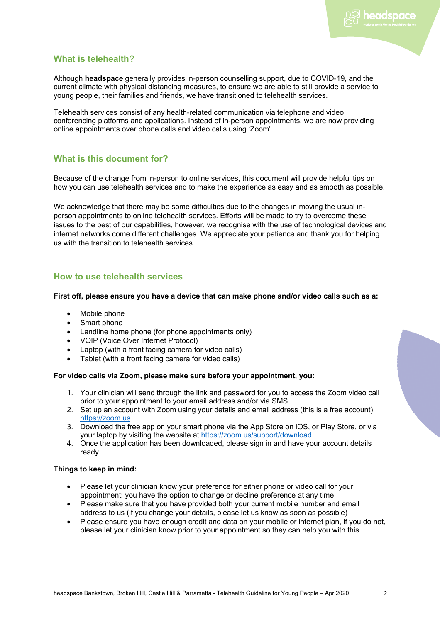headspace

# **What is telehealth?**

Although **headspace** generally provides in-person counselling support, due to COVID-19, and the current climate with physical distancing measures, to ensure we are able to still provide a service to young people, their families and friends, we have transitioned to telehealth services.

Telehealth services consist of any health-related communication via telephone and video conferencing platforms and applications. Instead of in-person appointments, we are now providing online appointments over phone calls and video calls using 'Zoom'.

# **What is this document for?**

Because of the change from in-person to online services, this document will provide helpful tips on how you can use telehealth services and to make the experience as easy and as smooth as possible.

We acknowledge that there may be some difficulties due to the changes in moving the usual inperson appointments to online telehealth services. Efforts will be made to try to overcome these issues to the best of our capabilities, however, we recognise with the use of technological devices and internet networks come different challenges. We appreciate your patience and thank you for helping us with the transition to telehealth services.

# **How to use telehealth services**

## **First off, please ensure you have a device that can make phone and/or video calls such as a:**

- Mobile phone
- Smart phone
- Landline home phone (for phone appointments only)
- VOIP (Voice Over Internet Protocol)
- Laptop (with a front facing camera for video calls)
- Tablet (with a front facing camera for video calls)

# **For video calls via Zoom, please make sure before your appointment, you:**

- 1. Your clinician will send through the link and password for you to access the Zoom video call prior to your appointment to your email address and/or via SMS
- 2. Set up an account with Zoom using your details and email address (this is a free account) https://zoom.us
- 3. Download the free app on your smart phone via the App Store on iOS, or Play Store, or via your laptop by visiting the website at https://zoom.us/support/download
- 4. Once the application has been downloaded, please sign in and have your account details ready

#### **Things to keep in mind:**

- Please let your clinician know your preference for either phone or video call for your appointment; you have the option to change or decline preference at any time
- Please make sure that you have provided both your current mobile number and email address to us (if you change your details, please let us know as soon as possible)
- Please ensure you have enough credit and data on your mobile or internet plan, if you do not, please let your clinician know prior to your appointment so they can help you with this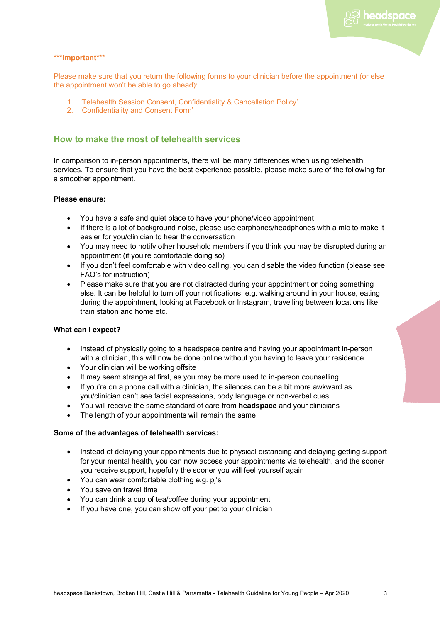

## **\*\*\*Important\*\*\***

Please make sure that you return the following forms to your clinician before the appointment (or else the appointment won't be able to go ahead):

- 1. 'Telehealth Session Consent, Confidentiality & Cancellation Policy'
- 2. 'Confidentiality and Consent Form'

# **How to make the most of telehealth services**

In comparison to in-person appointments, there will be many differences when using telehealth services. To ensure that you have the best experience possible, please make sure of the following for a smoother appointment.

## **Please ensure:**

- You have a safe and quiet place to have your phone/video appointment
- If there is a lot of background noise, please use earphones/headphones with a mic to make it easier for you/clinician to hear the conversation
- You may need to notify other household members if you think you may be disrupted during an appointment (if you're comfortable doing so)
- If you don't feel comfortable with video calling, you can disable the video function (please see FAQ's for instruction)
- Please make sure that you are not distracted during your appointment or doing something else. It can be helpful to turn off your notifications. e.g. walking around in your house, eating during the appointment, looking at Facebook or Instagram, travelling between locations like train station and home etc.

# **What can I expect?**

- Instead of physically going to a headspace centre and having your appointment in-person with a clinician, this will now be done online without you having to leave your residence
- Your clinician will be working offsite
- It may seem strange at first, as you may be more used to in-person counselling
- If you're on a phone call with a clinician, the silences can be a bit more awkward as you/clinician can't see facial expressions, body language or non-verbal cues
- You will receive the same standard of care from **headspace** and your clinicians
- The length of your appointments will remain the same

#### **Some of the advantages of telehealth services:**

- Instead of delaying your appointments due to physical distancing and delaying getting support for your mental health, you can now access your appointments via telehealth, and the sooner you receive support, hopefully the sooner you will feel yourself again
- You can wear comfortable clothing e.g. pj's
- You save on travel time
- You can drink a cup of tea/coffee during your appointment
- If you have one, you can show off your pet to your clinician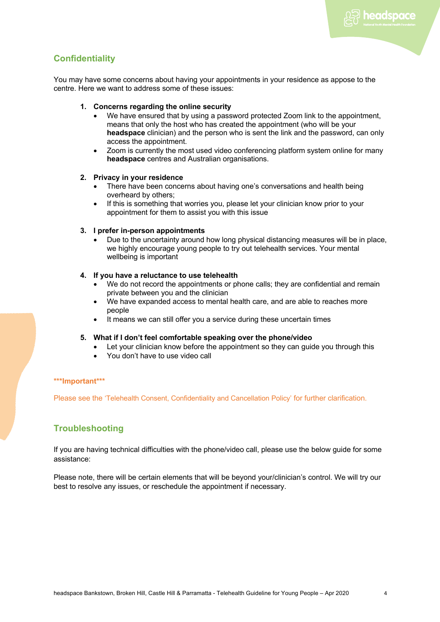<sup>a</sup> headspace

# **Confidentiality**

You may have some concerns about having your appointments in your residence as appose to the centre. Here we want to address some of these issues:

- **1. Concerns regarding the online security**
	- We have ensured that by using a password protected Zoom link to the appointment, means that only the host who has created the appointment (who will be your **headspace** clinician) and the person who is sent the link and the password, can only access the appointment.
	- Zoom is currently the most used video conferencing platform system online for many **headspace** centres and Australian organisations.

## **2. Privacy in your residence**

- There have been concerns about having one's conversations and health being overheard by others;
- If this is something that worries you, please let your clinician know prior to your appointment for them to assist you with this issue

# **3. I prefer in-person appointments**

• Due to the uncertainty around how long physical distancing measures will be in place, we highly encourage young people to try out telehealth services. Your mental wellbeing is important

# **4. If you have a reluctance to use telehealth**

- We do not record the appointments or phone calls; they are confidential and remain private between you and the clinician
- We have expanded access to mental health care, and are able to reaches more people
- It means we can still offer you a service during these uncertain times

# **5. What if I don't feel comfortable speaking over the phone/video**

- Let your clinician know before the appointment so they can guide you through this
- You don't have to use video call

# **\*\*\*Important\*\*\***

Please see the 'Telehealth Consent, Confidentiality and Cancellation Policy' for further clarification.

# **Troubleshooting**

If you are having technical difficulties with the phone/video call, please use the below guide for some assistance:

Please note, there will be certain elements that will be beyond your/clinician's control. We will try our best to resolve any issues, or reschedule the appointment if necessary.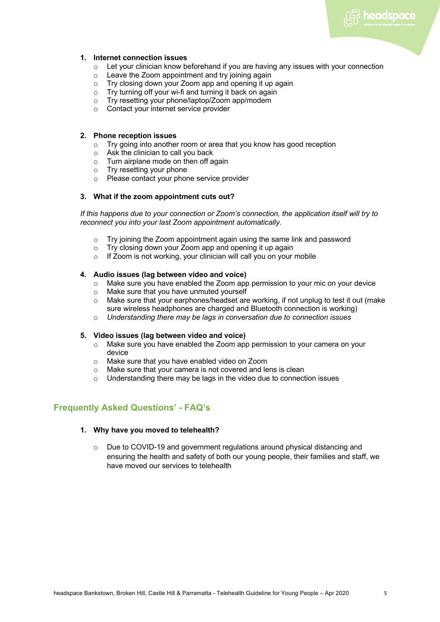**D** headspace

# **1. Internet connection issues**

- $\circ$  Let your clinician know beforehand if you are having any issues with your connection
- o Leave the Zoom appointment and try joining again
- o Try closing down your Zoom app and opening it up again
- o Try turning off your wi-fi and turning it back on again
- o Try resetting your phone/laptop/Zoom app/modem
- o Contact your internet service provider

## **2. Phone reception issues**

- o Try going into another room or area that you know has good reception
- 
- Ask the clinician to call you back<br>○ Turn airplane mode on then off a<br>○ Try resetting your phone Turn airplane mode on then off again
- Try resetting your phone
- o Please contact your phone service provider

## **3. What if the zoom appointment cuts out?**

*If this happens due to your connection or Zoom's connection, the application itself will try to reconnect you into your last Zoom appointment automatically.*

- o Try joining the Zoom appointment again using the same link and password
- o Try closing down your Zoom app and opening it up again
- $\circ$  If Zoom is not working, your clinician will call you on your mobile

# **4. Audio issues (lag between video and voice)**

- o Make sure you have enabled the Zoom app permission to your mic on your device
- o Make sure that you have unmuted yourself
- $\circ$  Make sure that your earphones/headset are working, if not unplug to test it out (make sure wireless headphones are charged and Bluetooth connection is working)
- o *Understanding there may be lags in conversation due to connection issues*

#### **5. Video issues (lag between video and voice)**

- $\circ$  Make sure you have enabled the Zoom app permission to your camera on your device
- o Make sure that you have enabled video on Zoom
- o Make sure that your camera is not covered and lens is clean
- $\circ$  Understanding there may be lags in the video due to connection issues

# **Frequently Asked Questions' - FAQ's**

#### **1. Why have you moved to telehealth?**

 $\circ$  Due to COVID-19 and government regulations around physical distancing and ensuring the health and safety of both our young people, their families and staff, we have moved our services to telehealth